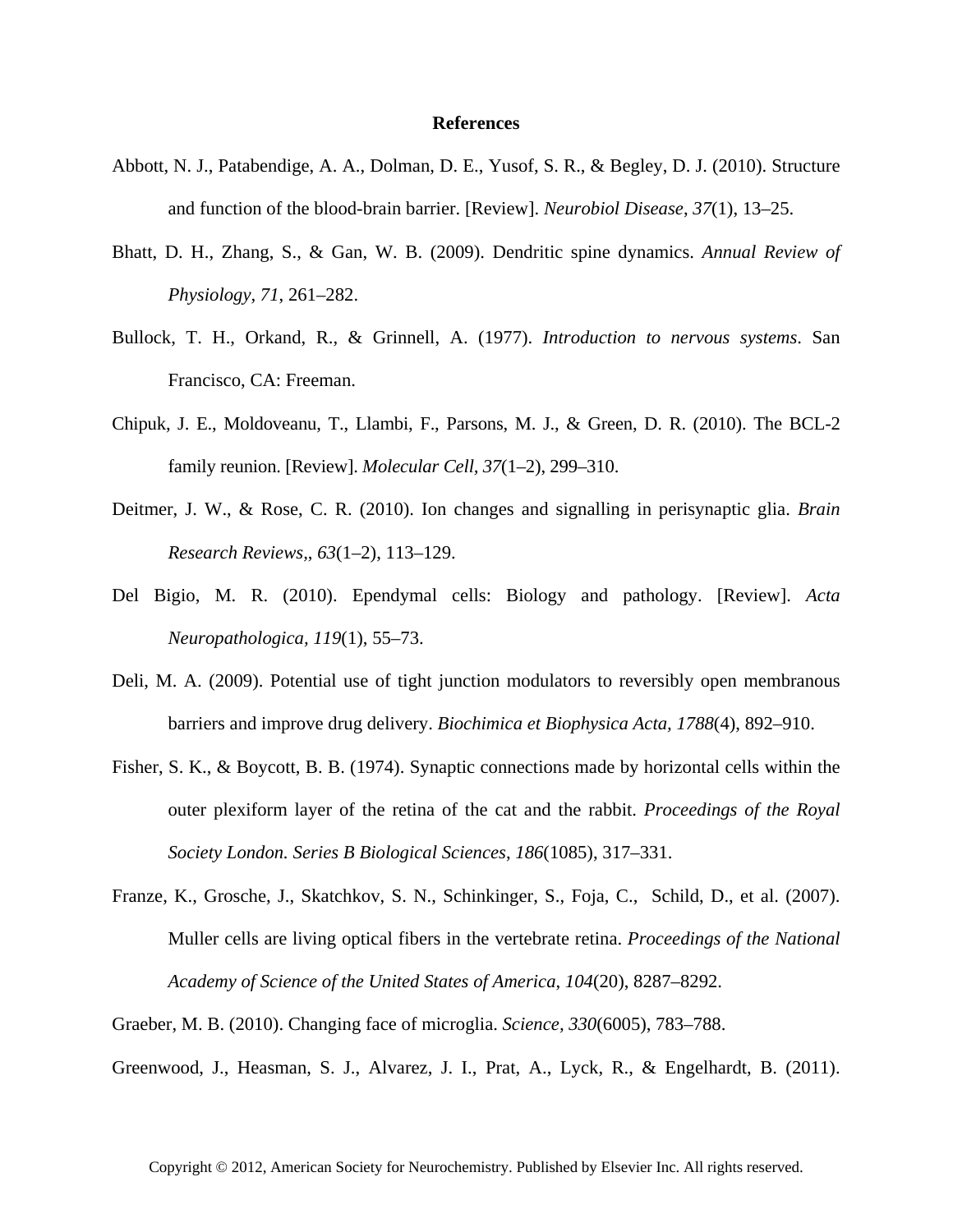## **References**

- Abbott, N. J., Patabendige, A. A., Dolman, D. E., Yusof, S. R., & Begley, D. J. (2010). Structure and function of the blood-brain barrier. [Review]. *Neurobiol Disease*, *37*(1), 13–25.
- Bhatt, D. H., Zhang, S., & Gan, W. B. (2009). Dendritic spine dynamics. *Annual Review of Physiology, 71*, 261–282.
- Bullock, T. H., Orkand, R., & Grinnell, A. (1977). *Introduction to nervous systems*. San Francisco, CA: Freeman.
- Chipuk, J. E., Moldoveanu, T., Llambi, F., Parsons, M. J., & Green, D. R. (2010). The BCL-2 family reunion. [Review]. *Molecular Cell, 37*(1–2), 299–310.
- Deitmer, J. W., & Rose, C. R. (2010). Ion changes and signalling in perisynaptic glia. *Brain Research Reviews,*, *63*(1–2), 113–129.
- Del Bigio, M. R. (2010). Ependymal cells: Biology and pathology. [Review]. *Acta Neuropathologica, 119*(1), 55–73.
- Deli, M. A. (2009). Potential use of tight junction modulators to reversibly open membranous barriers and improve drug delivery. *Biochimica et Biophysica Acta, 1788*(4), 892–910.
- Fisher, S. K., & Boycott, B. B. (1974). Synaptic connections made by horizontal cells within the outer plexiform layer of the retina of the cat and the rabbit. *Proceedings of the Royal Society London. Series B Biological Sciences*, *186*(1085), 317–331.
- Franze, K., Grosche, J., Skatchkov, S. N., Schinkinger, S., Foja, C., Schild, D., et al. (2007). Muller cells are living optical fibers in the vertebrate retina. *Proceedings of the National Academy of Science of the United States of America*, *104*(20), 8287–8292.
- Graeber, M. B. (2010). Changing face of microglia. *Science, 330*(6005), 783–788.

Greenwood, J., Heasman, S. J., Alvarez, J. I., Prat, A., Lyck, R., & Engelhardt, B. (2011).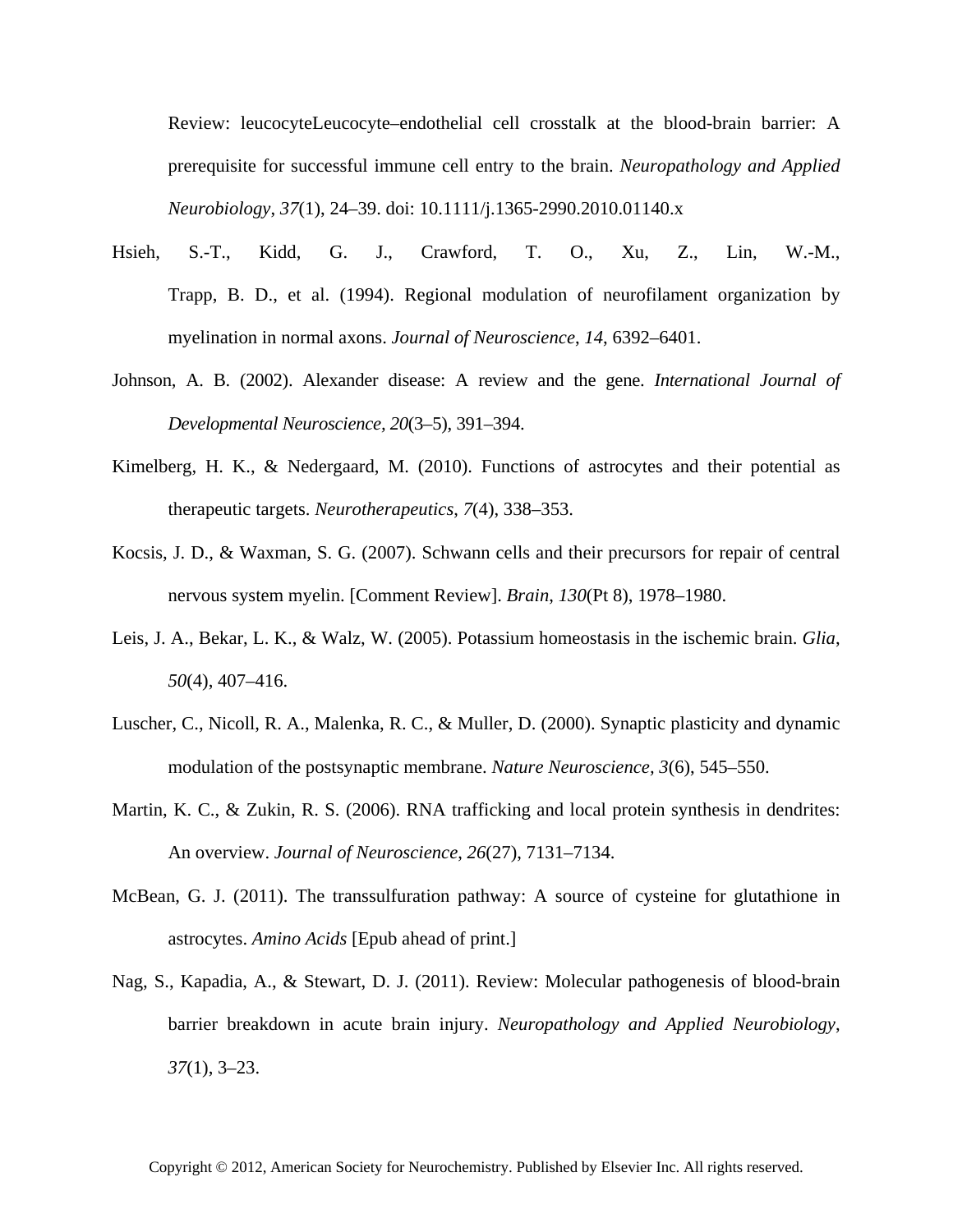Review: leucocyteLeucocyte–endothelial cell crosstalk at the blood-brain barrier: A prerequisite for successful immune cell entry to the brain. *Neuropathology and Applied Neurobiology*, *37*(1), 24–39. doi: 10.1111/j.1365-2990.2010.01140.x

- Hsieh, S.-T., Kidd, G. J., Crawford, T. O., Xu, Z., Lin, W.-M., Trapp, B. D., et al. (1994). Regional modulation of neurofilament organization by myelination in normal axons. *Journal of Neuroscience*, *14*, 6392–6401.
- Johnson, A. B. (2002). Alexander disease: A review and the gene. *International Journal of Developmental Neuroscience, 20*(3–5), 391–394.
- Kimelberg, H. K., & Nedergaard, M. (2010). Functions of astrocytes and their potential as therapeutic targets. *Neurotherapeutics*, *7*(4), 338–353.
- Kocsis, J. D., & Waxman, S. G. (2007). Schwann cells and their precursors for repair of central nervous system myelin. [Comment Review]. *Brain*, *130*(Pt 8), 1978–1980.
- Leis, J. A., Bekar, L. K., & Walz, W. (2005). Potassium homeostasis in the ischemic brain. *Glia*, *50*(4), 407–416.
- Luscher, C., Nicoll, R. A., Malenka, R. C., & Muller, D. (2000). Synaptic plasticity and dynamic modulation of the postsynaptic membrane. *Nature Neuroscience, 3*(6), 545–550.
- Martin, K. C., & Zukin, R. S. (2006). RNA trafficking and local protein synthesis in dendrites: An overview. *Journal of Neuroscience*, *26*(27), 7131–7134.
- McBean, G. J. (2011). The transsulfuration pathway: A source of cysteine for glutathione in astrocytes. *Amino Acids* [Epub ahead of print.]
- Nag, S., Kapadia, A., & Stewart, D. J. (2011). Review: Molecular pathogenesis of blood-brain barrier breakdown in acute brain injury. *Neuropathology and Applied Neurobiology*, *37*(1), 3–23.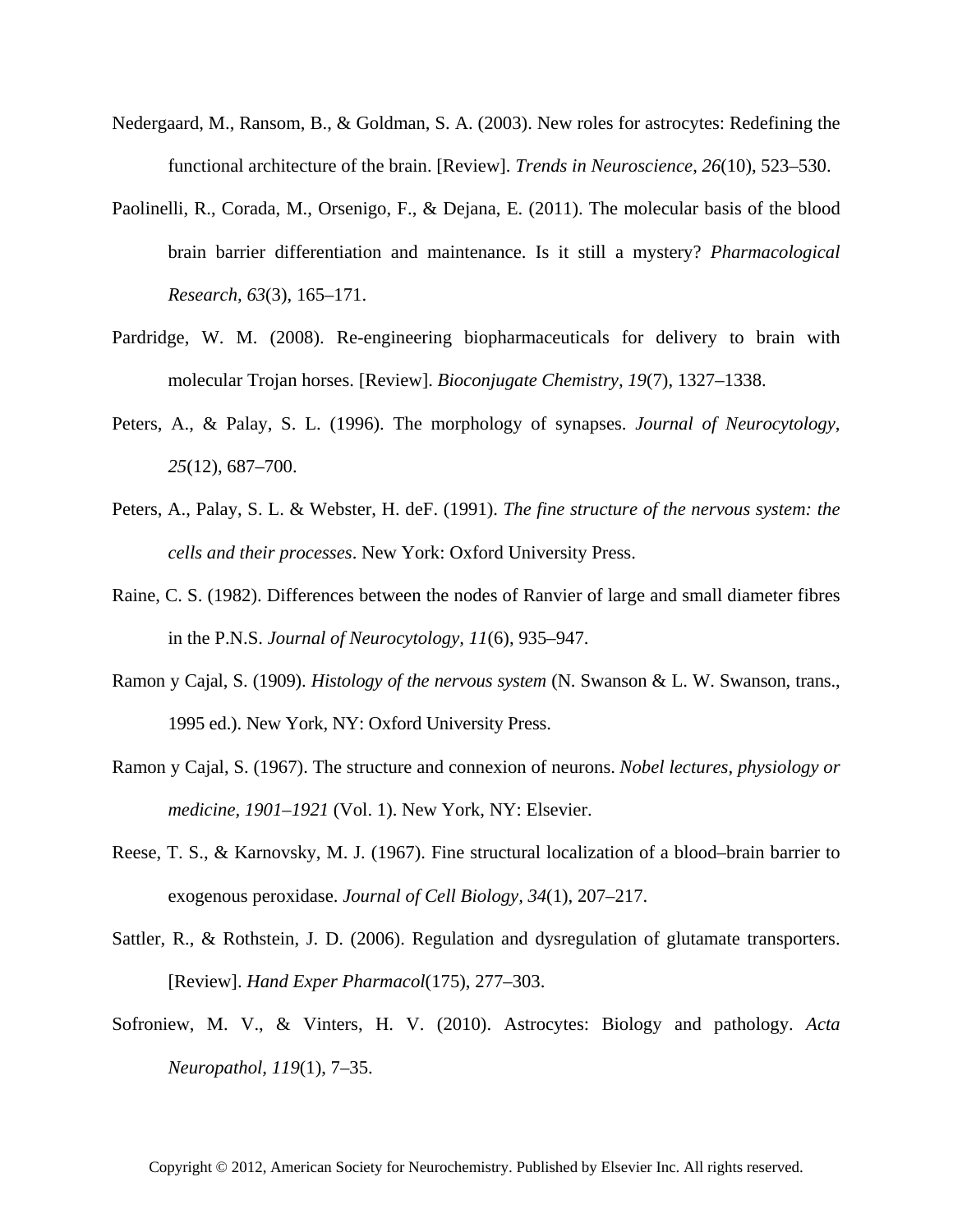- Nedergaard, M., Ransom, B., & Goldman, S. A. (2003). New roles for astrocytes: Redefining the functional architecture of the brain. [Review]. *Trends in Neuroscience*, *26*(10), 523–530.
- Paolinelli, R., Corada, M., Orsenigo, F., & Dejana, E. (2011). The molecular basis of the blood brain barrier differentiation and maintenance. Is it still a mystery? *Pharmacological Research, 63*(3), 165–171.
- Pardridge, W. M. (2008). Re-engineering biopharmaceuticals for delivery to brain with molecular Trojan horses. [Review]. *Bioconjugate Chemistry, 19*(7), 1327–1338.
- Peters, A., & Palay, S. L. (1996). The morphology of synapses. *Journal of Neurocytology*, *25*(12), 687–700.
- Peters, A., Palay, S. L. & Webster, H. deF. (1991). *The fine structure of the nervous system: the cells and their processes*. New York: Oxford University Press.
- Raine, C. S. (1982). Differences between the nodes of Ranvier of large and small diameter fibres in the P.N.S. *Journal of Neurocytology, 11*(6), 935–947.
- Ramon y Cajal, S. (1909). *Histology of the nervous system* (N. Swanson & L. W. Swanson, trans., 1995 ed.). New York, NY: Oxford University Press.
- Ramon y Cajal, S. (1967). The structure and connexion of neurons. *Nobel lectures, physiology or medicine, 1901–1921* (Vol. 1). New York, NY: Elsevier.
- Reese, T. S., & Karnovsky, M. J. (1967). Fine structural localization of a blood–brain barrier to exogenous peroxidase. *Journal of Cell Biology, 34*(1), 207–217.
- Sattler, R., & Rothstein, J. D. (2006). Regulation and dysregulation of glutamate transporters. [Review]. *Hand Exper Pharmacol*(175), 277–303.
- Sofroniew, M. V., & Vinters, H. V. (2010). Astrocytes: Biology and pathology. *Acta Neuropathol, 119*(1), 7–35.